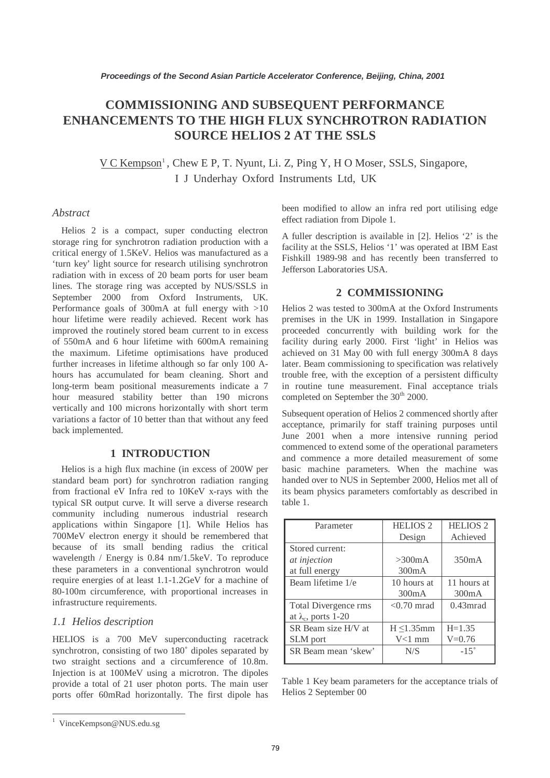# **COMMISSIONING AND SUBSEQUENT PERFORMANCE ENHANCEMENTS TO THE HIGH FLUX SYNCHROTRON RADIATION SOURCE HELIOS 2 AT THE SSLS**

V C Kempson<sup>1</sup>, Chew E P, T. Nyunt, Li. Z, Ping Y, H O Moser, SSLS, Singapore, I J Underhay Oxford Instruments Ltd, UK

#### *Abstract*

Helios 2 is a compact, super conducting electron storage ring for synchrotron radiation production with a critical energy of 1.5KeV. Helios was manufactured as a 'turn key' light source for research utilising synchrotron radiation with in excess of 20 beam ports for user beam lines. The storage ring was accepted by NUS/SSLS in September 2000 from Oxford Instruments, UK. Performance goals of 300mA at full energy with >10 hour lifetime were readily achieved. Recent work has improved the routinely stored beam current to in excess of 550mA and 6 hour lifetime with 600mA remaining the maximum. Lifetime optimisations have produced further increases in lifetime although so far only 100 Ahours has accumulated for beam cleaning. Short and long-term beam positional measurements indicate a 7 hour measured stability better than 190 microns vertically and 100 microns horizontally with short term variations a factor of 10 better than that without any feed back implemented.

### **1 INTRODUCTION**

Helios is a high flux machine (in excess of 200W per standard beam port) for synchrotron radiation ranging from fractional eV Infra red to 10KeV x-rays with the typical SR output curve. It will serve a diverse research community including numerous industrial research applications within Singapore [1]. While Helios has 700MeV electron energy it should be remembered that because of its small bending radius the critical wavelength / Energy is 0.84 nm/1.5keV. To reproduce these parameters in a conventional synchrotron would require energies of at least 1.1-1.2GeV for a machine of 80-100m circumference, with proportional increases in infrastructure requirements.

### *1.1 Helios description*

HELIOS is a 700 MeV superconducting racetrack synchrotron, consisting of two 180˚ dipoles separated by two straight sections and a circumference of 10.8m. Injection is at 100MeV using a microtron. The dipoles provide a total of 21 user photon ports. The main user ports offer 60mRad horizontally. The first dipole has been modified to allow an infra red port utilising edge effect radiation from Dipole 1.

A fuller description is available in [2]. Helios '2' is the facility at the SSLS, Helios '1' was operated at IBM East Fishkill 1989-98 and has recently been transferred to Jefferson Laboratories USA.

### **2 COMMISSIONING**

Helios 2 was tested to 300mA at the Oxford Instruments premises in the UK in 1999. Installation in Singapore proceeded concurrently with building work for the facility during early 2000. First 'light' in Helios was achieved on 31 May 00 with full energy 300mA 8 days later. Beam commissioning to specification was relatively trouble free, with the exception of a persistent difficulty in routine tune measurement. Final acceptance trials completed on September the 30<sup>th</sup> 2000.

Subsequent operation of Helios 2 commenced shortly after acceptance, primarily for staff training purposes until June 2001 when a more intensive running period commenced to extend some of the operational parameters and commence a more detailed measurement of some basic machine parameters. When the machine was handed over to NUS in September 2000, Helios met all of its beam physics parameters comfortably as described in table 1.

| Parameter                   | <b>HELIOS 2</b>  | <b>HELIOS 2</b> |
|-----------------------------|------------------|-----------------|
|                             | Design           | Achieved        |
| Stored current:             |                  |                 |
| at injection                | >300mA           | 350mA           |
| at full energy              | 300mA            |                 |
| Beam lifetime 1/e           | 10 hours at      | 11 hours at     |
|                             | 300mA            | 300mA           |
| Total Divergence rms        | $< 0.70$ mrad    | $0.43$ mrad     |
| at $\lambda_c$ , ports 1-20 |                  |                 |
| SR Beam size H/V at         | $H \leq 1.35$ mm | $H = 1.35$      |
| SLM port                    | $V<1$ mm         | $V = 0.76$      |
| SR Beam mean 'skew'         | N/S              | $-15^\circ$     |
|                             |                  |                 |

Table 1 Key beam parameters for the acceptance trials of Helios 2 September 00

<sup>1</sup> VinceKempson@NUS.edu.sg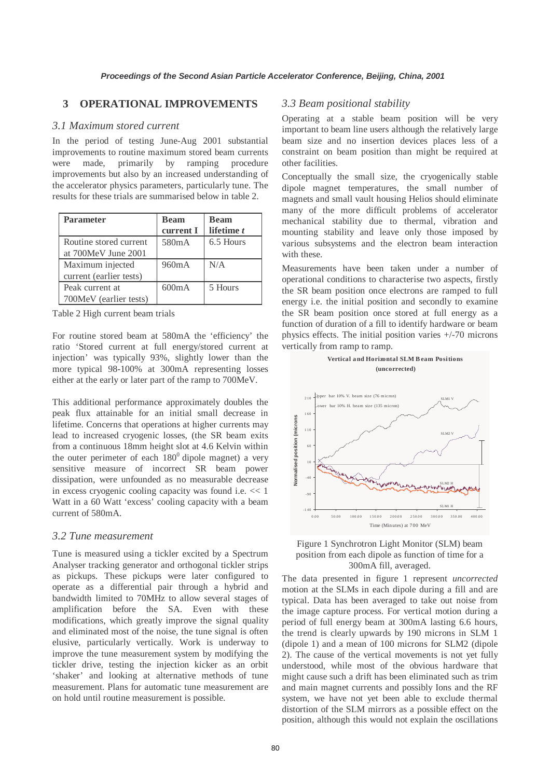# **3 OPERATIONAL IMPROVEMENTS**

#### *3.1 Maximum stored current*

In the period of testing June-Aug 2001 substantial improvements to routine maximum stored beam currents were made, primarily by ramping procedure improvements but also by an increased understanding of the accelerator physics parameters, particularly tune. The results for these trials are summarised below in table 2.

| <b>Parameter</b>        | <b>Beam</b>        | <b>Beam</b> |
|-------------------------|--------------------|-------------|
|                         | current I          | lifetime t  |
| Routine stored current  | 580 <sub>m</sub> A | 6.5 Hours   |
| at 700MeV June 2001     |                    |             |
| Maximum injected        | 960mA              | N/A         |
| current (earlier tests) |                    |             |
| Peak current at         | 600mA              | 5 Hours     |
| 700MeV (earlier tests)  |                    |             |

Table 2 High current beam trials

For routine stored beam at 580mA the 'efficiency' the ratio 'Stored current at full energy/stored current at injection' was typically 93%, slightly lower than the more typical 98-100% at 300mA representing losses either at the early or later part of the ramp to 700MeV.

This additional performance approximately doubles the peak flux attainable for an initial small decrease in lifetime. Concerns that operations at higher currents may lead to increased cryogenic losses, (the SR beam exits from a continuous 18mm height slot at 4.6 Kelvin within the outer perimeter of each  $180^{\circ}$  dipole magnet) a very sensitive measure of incorrect SR beam power dissipation, were unfounded as no measurable decrease in excess cryogenic cooling capacity was found i.e. << 1 Watt in a 60 Watt 'excess' cooling capacity with a beam current of 580mA.

### *3.2 Tune measurement*

Tune is measured using a tickler excited by a Spectrum Analyser tracking generator and orthogonal tickler strips as pickups. These pickups were later configured to operate as a differential pair through a hybrid and bandwidth limited to 70MHz to allow several stages of amplification before the SA. Even with these modifications, which greatly improve the signal quality and eliminated most of the noise, the tune signal is often elusive, particularly vertically. Work is underway to improve the tune measurement system by modifying the tickler drive, testing the injection kicker as an orbit 'shaker' and looking at alternative methods of tune measurement. Plans for automatic tune measurement are on hold until routine measurement is possible.

# *3.3 Beam positional stability*

Operating at a stable beam position will be very important to beam line users although the relatively large beam size and no insertion devices places less of a constraint on beam position than might be required at other facilities.

Conceptually the small size, the cryogenically stable dipole magnet temperatures, the small number of magnets and small vault housing Helios should eliminate many of the more difficult problems of accelerator mechanical stability due to thermal, vibration and mounting stability and leave only those imposed by various subsystems and the electron beam interaction with these.

Measurements have been taken under a number of operational conditions to characterise two aspects, firstly the SR beam position once electrons are ramped to full energy i.e. the initial position and secondly to examine the SR beam position once stored at full energy as a function of duration of a fill to identify hardware or beam physics effects. The initial position varies +/-70 microns vertically from ramp to ramp.





The data presented in figure 1 represent *uncorrected* motion at the SLMs in each dipole during a fill and are typical. Data has been averaged to take out noise from the image capture process. For vertical motion during a period of full energy beam at 300mA lasting 6.6 hours, the trend is clearly upwards by 190 microns in SLM 1 (dipole 1) and a mean of 100 microns for SLM2 (dipole 2). The cause of the vertical movements is not yet fully understood, while most of the obvious hardware that might cause such a drift has been eliminated such as trim and main magnet currents and possibly Ions and the RF system, we have not yet been able to exclude thermal distortion of the SLM mirrors as a possible effect on the position, although this would not explain the oscillations